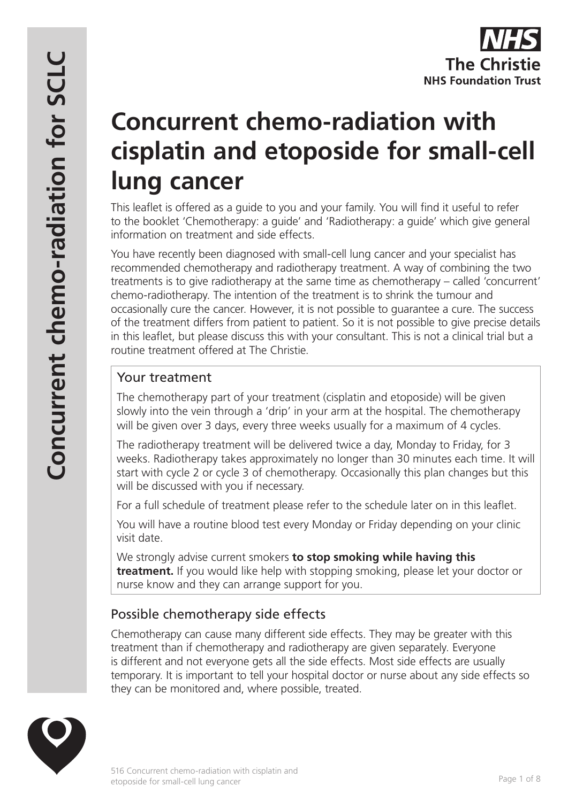# **Concurrent chemo-radiation with cisplatin and etoposide for small-cell lung cancer**

This leaflet is offered as a guide to you and your family. You will find it useful to refer to the booklet 'Chemotherapy: a guide' and 'Radiotherapy: a guide' which give general information on treatment and side effects.

You have recently been diagnosed with small-cell lung cancer and your specialist has recommended chemotherapy and radiotherapy treatment. A way of combining the two treatments is to give radiotherapy at the same time as chemotherapy – called 'concurrent' chemo-radiotherapy. The intention of the treatment is to shrink the tumour and occasionally cure the cancer. However, it is not possible to guarantee a cure. The success of the treatment differs from patient to patient. So it is not possible to give precise details in this leaflet, but please discuss this with your consultant. This is not a clinical trial but a routine treatment offered at The Christie.

# Your treatment

The chemotherapy part of your treatment (cisplatin and etoposide) will be given slowly into the vein through a 'drip' in your arm at the hospital. The chemotherapy will be given over 3 days, every three weeks usually for a maximum of 4 cycles.

The radiotherapy treatment will be delivered twice a day, Monday to Friday, for 3 weeks. Radiotherapy takes approximately no longer than 30 minutes each time. It will start with cycle 2 or cycle 3 of chemotherapy. Occasionally this plan changes but this will be discussed with you if necessary.

For a full schedule of treatment please refer to the schedule later on in this leaflet.

You will have a routine blood test every Monday or Friday depending on your clinic visit date.

We strongly advise current smokers **to stop smoking while having this treatment.** If you would like help with stopping smoking, please let your doctor or nurse know and they can arrange support for you.

# Possible chemotherapy side effects

Chemotherapy can cause many different side effects. They may be greater with this treatment than if chemotherapy and radiotherapy are given separately. Everyone is different and not everyone gets all the side effects. Most side effects are usually temporary. It is important to tell your hospital doctor or nurse about any side effects so they can be monitored and, where possible, treated.

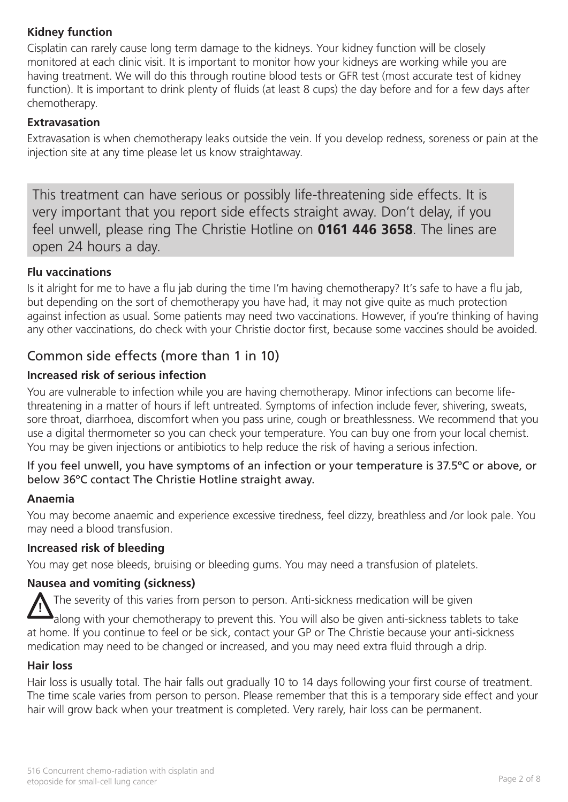## **Kidney function**

Cisplatin can rarely cause long term damage to the kidneys. Your kidney function will be closely monitored at each clinic visit. It is important to monitor how your kidneys are working while you are having treatment. We will do this through routine blood tests or GFR test (most accurate test of kidney function). It is important to drink plenty of fluids (at least 8 cups) the day before and for a few days after chemotherapy.

## **Extravasation**

Extravasation is when chemotherapy leaks outside the vein. If you develop redness, soreness or pain at the injection site at any time please let us know straightaway.

This treatment can have serious or possibly life-threatening side effects. It is very important that you report side effects straight away. Don't delay, if you feel unwell, please ring The Christie Hotline on **0161 446 3658**. The lines are open 24 hours a day.

## **Flu vaccinations**

Is it alright for me to have a flu jab during the time I'm having chemotherapy? It's safe to have a flu jab, but depending on the sort of chemotherapy you have had, it may not give quite as much protection against infection as usual. Some patients may need two vaccinations. However, if you're thinking of having any other vaccinations, do check with your Christie doctor first, because some vaccines should be avoided.

## Common side effects (more than 1 in 10)

## **Increased risk of serious infection**

You are vulnerable to infection while you are having chemotherapy. Minor infections can become lifethreatening in a matter of hours if left untreated. Symptoms of infection include fever, shivering, sweats, sore throat, diarrhoea, discomfort when you pass urine, cough or breathlessness. We recommend that you use a digital thermometer so you can check your temperature. You can buy one from your local chemist. You may be given injections or antibiotics to help reduce the risk of having a serious infection.

## If you feel unwell, you have symptoms of an infection or your temperature is 37.5ºC or above, or below 36ºC contact The Christie Hotline straight away.

## **Anaemia**

You may become anaemic and experience excessive tiredness, feel dizzy, breathless and /or look pale. You may need a blood transfusion.

#### **Increased risk of bleeding**

You may get nose bleeds, bruising or bleeding gums. You may need a transfusion of platelets.

## **Nausea and vomiting (sickness)**

The severity of this varies from person to person. Anti-sickness medication will be given

along with your chemotherapy to prevent this. You will also be given anti-sickness tablets to take at home. If you continue to feel or be sick, contact your GP or The Christie because your anti-sickness medication may need to be changed or increased, and you may need extra fluid through a drip. **!**

#### **Hair loss**

Hair loss is usually total. The hair falls out gradually 10 to 14 days following your first course of treatment. The time scale varies from person to person. Please remember that this is a temporary side effect and your hair will grow back when your treatment is completed. Very rarely, hair loss can be permanent.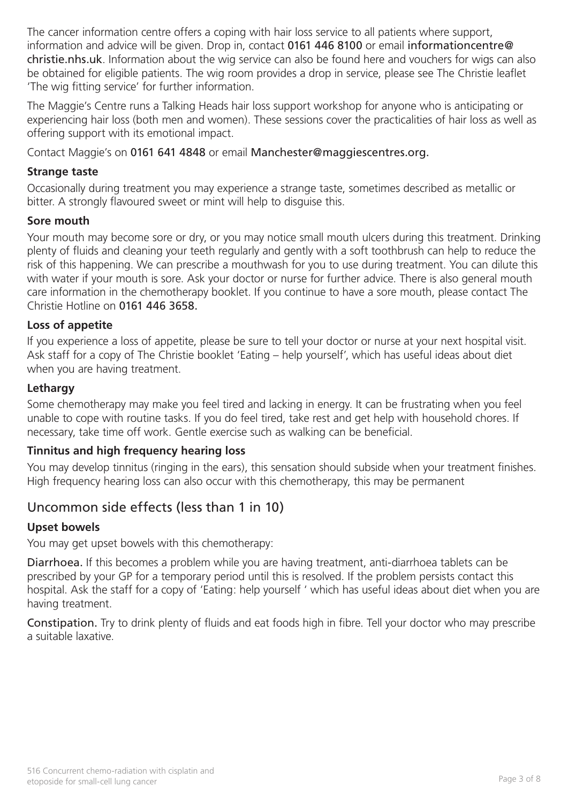The cancer information centre offers a coping with hair loss service to all patients where support, information and advice will be given. Drop in, contact 0161 446 8100 or email informationcentre@ christie.nhs.uk. Information about the wig service can also be found here and vouchers for wigs can also be obtained for eligible patients. The wig room provides a drop in service, please see The Christie leaflet 'The wig fitting service' for further information.

The Maggie's Centre runs a Talking Heads hair loss support workshop for anyone who is anticipating or experiencing hair loss (both men and women). These sessions cover the practicalities of hair loss as well as offering support with its emotional impact.

Contact Maggie's on 0161 641 4848 or email Manchester@maggiescentres.org.

## **Strange taste**

Occasionally during treatment you may experience a strange taste, sometimes described as metallic or bitter. A strongly flavoured sweet or mint will help to disguise this.

## **Sore mouth**

Your mouth may become sore or dry, or you may notice small mouth ulcers during this treatment. Drinking plenty of fluids and cleaning your teeth regularly and gently with a soft toothbrush can help to reduce the risk of this happening. We can prescribe a mouthwash for you to use during treatment. You can dilute this with water if your mouth is sore. Ask your doctor or nurse for further advice. There is also general mouth care information in the chemotherapy booklet. If you continue to have a sore mouth, please contact The Christie Hotline on 0161 446 3658.

## **Loss of appetite**

If you experience a loss of appetite, please be sure to tell your doctor or nurse at your next hospital visit. Ask staff for a copy of The Christie booklet 'Eating – help yourself', which has useful ideas about diet when you are having treatment.

## **Lethargy**

Some chemotherapy may make you feel tired and lacking in energy. It can be frustrating when you feel unable to cope with routine tasks. If you do feel tired, take rest and get help with household chores. If necessary, take time off work. Gentle exercise such as walking can be beneficial.

## **Tinnitus and high frequency hearing loss**

You may develop tinnitus (ringing in the ears), this sensation should subside when your treatment finishes. High frequency hearing loss can also occur with this chemotherapy, this may be permanent

## Uncommon side effects (less than 1 in 10)

## **Upset bowels**

You may get upset bowels with this chemotherapy:

Diarrhoea. If this becomes a problem while you are having treatment, anti-diarrhoea tablets can be prescribed by your GP for a temporary period until this is resolved. If the problem persists contact this hospital. Ask the staff for a copy of 'Eating: help yourself ' which has useful ideas about diet when you are having treatment.

Constipation. Try to drink plenty of fluids and eat foods high in fibre. Tell your doctor who may prescribe a suitable laxative.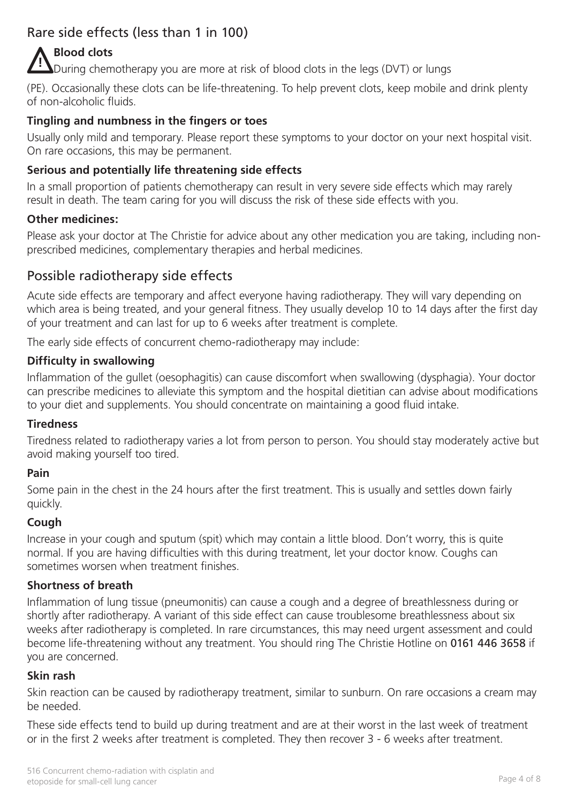# Rare side effects (less than 1 in 100)

# **Blood clots**

During chemotherapy you are more at risk of blood clots in the legs (DVT) or lungs **!**

(PE). Occasionally these clots can be life-threatening. To help prevent clots, keep mobile and drink plenty of non-alcoholic fluids.

## **Tingling and numbness in the fingers or toes**

Usually only mild and temporary. Please report these symptoms to your doctor on your next hospital visit. On rare occasions, this may be permanent.

## **Serious and potentially life threatening side effects**

In a small proportion of patients chemotherapy can result in very severe side effects which may rarely result in death. The team caring for you will discuss the risk of these side effects with you.

## **Other medicines:**

Please ask your doctor at The Christie for advice about any other medication you are taking, including nonprescribed medicines, complementary therapies and herbal medicines.

## Possible radiotherapy side effects

Acute side effects are temporary and affect everyone having radiotherapy. They will vary depending on which area is being treated, and your general fitness. They usually develop 10 to 14 days after the first day of your treatment and can last for up to 6 weeks after treatment is complete.

The early side effects of concurrent chemo-radiotherapy may include:

## **Difficulty in swallowing**

Inflammation of the gullet (oesophagitis) can cause discomfort when swallowing (dysphagia). Your doctor can prescribe medicines to alleviate this symptom and the hospital dietitian can advise about modifications to your diet and supplements. You should concentrate on maintaining a good fluid intake.

## **Tiredness**

Tiredness related to radiotherapy varies a lot from person to person. You should stay moderately active but avoid making yourself too tired.

#### **Pain**

Some pain in the chest in the 24 hours after the first treatment. This is usually and settles down fairly quickly.

## **Cough**

Increase in your cough and sputum (spit) which may contain a little blood. Don't worry, this is quite normal. If you are having difficulties with this during treatment, let your doctor know. Coughs can sometimes worsen when treatment finishes.

#### **Shortness of breath**

Inflammation of lung tissue (pneumonitis) can cause a cough and a degree of breathlessness during or shortly after radiotherapy. A variant of this side effect can cause troublesome breathlessness about six weeks after radiotherapy is completed. In rare circumstances, this may need urgent assessment and could become life-threatening without any treatment. You should ring The Christie Hotline on 0161 446 3658 if you are concerned.

#### **Skin rash**

Skin reaction can be caused by radiotherapy treatment, similar to sunburn. On rare occasions a cream may be needed.

These side effects tend to build up during treatment and are at their worst in the last week of treatment or in the first 2 weeks after treatment is completed. They then recover 3 - 6 weeks after treatment.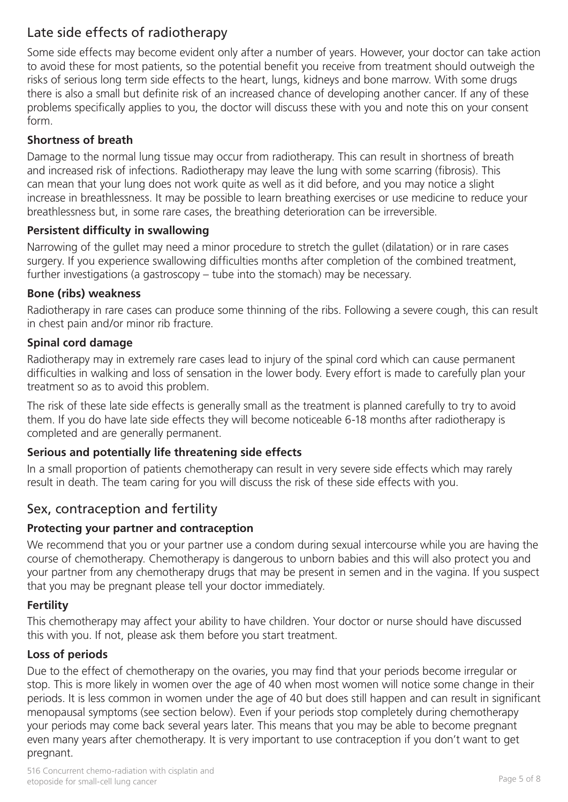# Late side effects of radiotherapy

Some side effects may become evident only after a number of years. However, your doctor can take action to avoid these for most patients, so the potential benefit you receive from treatment should outweigh the risks of serious long term side effects to the heart, lungs, kidneys and bone marrow. With some drugs there is also a small but definite risk of an increased chance of developing another cancer. If any of these problems specifically applies to you, the doctor will discuss these with you and note this on your consent form.

## **Shortness of breath**

Damage to the normal lung tissue may occur from radiotherapy. This can result in shortness of breath and increased risk of infections. Radiotherapy may leave the lung with some scarring (fibrosis). This can mean that your lung does not work quite as well as it did before, and you may notice a slight increase in breathlessness. It may be possible to learn breathing exercises or use medicine to reduce your breathlessness but, in some rare cases, the breathing deterioration can be irreversible.

## **Persistent difficulty in swallowing**

Narrowing of the gullet may need a minor procedure to stretch the gullet (dilatation) or in rare cases surgery. If you experience swallowing difficulties months after completion of the combined treatment, further investigations (a gastroscopy – tube into the stomach) may be necessary.

## **Bone (ribs) weakness**

Radiotherapy in rare cases can produce some thinning of the ribs. Following a severe cough, this can result in chest pain and/or minor rib fracture.

## **Spinal cord damage**

Radiotherapy may in extremely rare cases lead to injury of the spinal cord which can cause permanent difficulties in walking and loss of sensation in the lower body. Every effort is made to carefully plan your treatment so as to avoid this problem.

The risk of these late side effects is generally small as the treatment is planned carefully to try to avoid them. If you do have late side effects they will become noticeable 6-18 months after radiotherapy is completed and are generally permanent.

## **Serious and potentially life threatening side effects**

In a small proportion of patients chemotherapy can result in very severe side effects which may rarely result in death. The team caring for you will discuss the risk of these side effects with you.

## Sex, contraception and fertility

## **Protecting your partner and contraception**

We recommend that you or your partner use a condom during sexual intercourse while you are having the course of chemotherapy. Chemotherapy is dangerous to unborn babies and this will also protect you and your partner from any chemotherapy drugs that may be present in semen and in the vagina. If you suspect that you may be pregnant please tell your doctor immediately.

## **Fertility**

This chemotherapy may affect your ability to have children. Your doctor or nurse should have discussed this with you. If not, please ask them before you start treatment.

## **Loss of periods**

Due to the effect of chemotherapy on the ovaries, you may find that your periods become irregular or stop. This is more likely in women over the age of 40 when most women will notice some change in their periods. It is less common in women under the age of 40 but does still happen and can result in significant menopausal symptoms (see section below). Even if your periods stop completely during chemotherapy your periods may come back several years later. This means that you may be able to become pregnant even many years after chemotherapy. It is very important to use contraception if you don't want to get pregnant.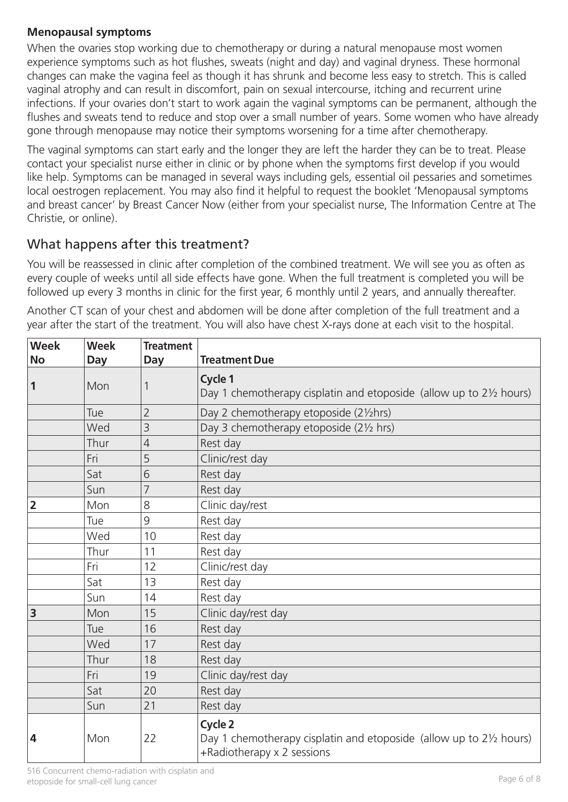## **Menopausal symptoms**

When the ovaries stop working due to chemotherapy or during a natural menopause most women experience symptoms such as hot flushes, sweats (night and day) and vaginal dryness. These hormonal changes can make the vagina feel as though it has shrunk and become less easy to stretch. This is called vaginal atrophy and can result in discomfort, pain on sexual intercourse, itching and recurrent urine infections. If your ovaries don't start to work again the vaginal symptoms can be permanent, although the flushes and sweats tend to reduce and stop over a small number of years. Some women who have already gone through menopause may notice their symptoms worsening for a time after chemotherapy.

The vaginal symptoms can start early and the longer they are left the harder they can be to treat. Please contact your specialist nurse either in clinic or by phone when the symptoms first develop if you would like help. Symptoms can be managed in several ways including gels, essential oil pessaries and sometimes local oestrogen replacement. You may also find it helpful to request the booklet 'Menopausal symptoms and breast cancer' by Breast Cancer Now (either from your specialist nurse, The Information Centre at The Christie, or online).

## What happens after this treatment?

You will be reassessed in clinic after completion of the combined treatment. We will see you as often as every couple of weeks until all side effects have gone. When the full treatment is completed you will be followed up every 3 months in clinic for the first year, 6 monthly until 2 years, and annually thereafter.

Another CT scan of your chest and abdomen will be done after completion of the full treatment and a year after the start of the treatment. You will also have chest X-rays done at each visit to the hospital.

| <b>Week</b><br><b>No</b> | <b>Week</b><br>Day | <b>Treatment</b><br><b>Day</b> | <b>Treatment Due</b>                                                                                         |  |
|--------------------------|--------------------|--------------------------------|--------------------------------------------------------------------------------------------------------------|--|
| $\mathbf{1}$             | Mon                | 1                              | Cycle 1<br>Day 1 chemotherapy cisplatin and etoposide (allow up to 21/2 hours)                               |  |
|                          | Tue                | $\overline{2}$                 | Day 2 chemotherapy etoposide (21/2hrs)                                                                       |  |
|                          | Wed                | 3                              | Day 3 chemotherapy etoposide (21/2 hrs)                                                                      |  |
|                          | Thur               | $\overline{4}$                 | Rest day                                                                                                     |  |
|                          | Fri                | 5                              | Clinic/rest day                                                                                              |  |
|                          | Sat                | 6                              | Rest day                                                                                                     |  |
|                          | Sun                | 7                              | Rest day                                                                                                     |  |
| $\overline{2}$           | Mon                | 8                              | Clinic day/rest                                                                                              |  |
|                          | Tue                | 9                              | Rest day                                                                                                     |  |
|                          | Wed                | 10                             | Rest day                                                                                                     |  |
|                          | Thur               | 11                             | Rest day                                                                                                     |  |
|                          | Fri                | 12                             | Clinic/rest day                                                                                              |  |
|                          | Sat                | 13                             | Rest day                                                                                                     |  |
|                          | Sun                | 14                             | Rest day                                                                                                     |  |
| $\overline{\mathbf{3}}$  | Mon                | 15                             | Clinic day/rest day                                                                                          |  |
|                          | Tue                | 16                             | Rest day                                                                                                     |  |
|                          | Wed                | 17                             | Rest day                                                                                                     |  |
|                          | Thur               | 18                             | Rest day                                                                                                     |  |
|                          | Fri                | 19                             | Clinic day/rest day                                                                                          |  |
|                          | Sat                | 20                             | Rest day                                                                                                     |  |
|                          | Sun                | 21                             | Rest day                                                                                                     |  |
| $\overline{4}$           | Mon                | 22                             | Cycle 2<br>Day 1 chemotherapy cisplatin and etoposide (allow up to 21/2 hours)<br>+Radiotherapy x 2 sessions |  |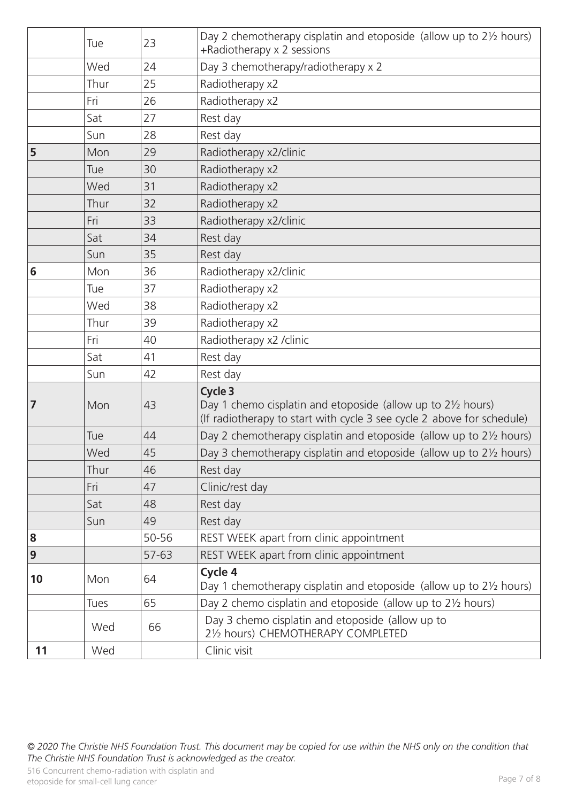|    | Tue  | 23    | Day 2 chemotherapy cisplatin and etoposide (allow up to 21/2 hours)<br>+Radiotherapy x 2 sessions                                                           |
|----|------|-------|-------------------------------------------------------------------------------------------------------------------------------------------------------------|
|    | Wed  | 24    | Day 3 chemotherapy/radiotherapy x 2                                                                                                                         |
|    | Thur | 25    | Radiotherapy x2                                                                                                                                             |
|    | Fri  | 26    | Radiotherapy x2                                                                                                                                             |
|    | Sat  | 27    | Rest day                                                                                                                                                    |
|    | Sun  | 28    | Rest day                                                                                                                                                    |
| 5  | Mon  | 29    | Radiotherapy x2/clinic                                                                                                                                      |
|    | Tue  | 30    | Radiotherapy x2                                                                                                                                             |
|    | Wed  | 31    | Radiotherapy x2                                                                                                                                             |
|    | Thur | 32    | Radiotherapy x2                                                                                                                                             |
|    | Fri  | 33    | Radiotherapy x2/clinic                                                                                                                                      |
|    | Sat  | 34    | Rest day                                                                                                                                                    |
|    | Sun  | 35    | Rest day                                                                                                                                                    |
| 6  | Mon  | 36    | Radiotherapy x2/clinic                                                                                                                                      |
|    | Tue  | 37    | Radiotherapy x2                                                                                                                                             |
|    | Wed  | 38    | Radiotherapy x2                                                                                                                                             |
|    | Thur | 39    | Radiotherapy x2                                                                                                                                             |
|    | Fri  | 40    | Radiotherapy x2 / clinic                                                                                                                                    |
|    | Sat  | 41    | Rest day                                                                                                                                                    |
|    | Sun  | 42    | Rest day                                                                                                                                                    |
| 7  | Mon  | 43    | Cycle 3<br>Day 1 chemo cisplatin and etoposide (allow up to $2\frac{1}{2}$ hours)<br>(If radiotherapy to start with cycle 3 see cycle 2 above for schedule) |
|    | Tue  | 44    | Day 2 chemotherapy cisplatin and etoposide (allow up to 2 <sup>1/2</sup> hours)                                                                             |
|    | Wed  | 45    | Day 3 chemotherapy cisplatin and etoposide (allow up to 21/2 hours)                                                                                         |
|    | Thur | 46    | Rest day                                                                                                                                                    |
|    | Fri  | 47    | Clinic/rest day                                                                                                                                             |
|    | Sat  | 48    | Rest day                                                                                                                                                    |
|    | Sun  | 49    | Rest day                                                                                                                                                    |
| 8  |      | 50-56 | REST WEEK apart from clinic appointment                                                                                                                     |
| 9  |      | 57-63 | REST WEEK apart from clinic appointment                                                                                                                     |
| 10 | Mon  | 64    | Cycle 4<br>Day 1 chemotherapy cisplatin and etoposide (allow up to 21/2 hours)                                                                              |
|    | Tues | 65    | Day 2 chemo cisplatin and etoposide (allow up to 21/2 hours)                                                                                                |
|    | Wed  | 66    | Day 3 chemo cisplatin and etoposide (allow up to<br>21/2 hours) CHEMOTHERAPY COMPLETED                                                                      |
| 11 | Wed  |       | Clinic visit                                                                                                                                                |

*© 2020 The Christie NHS Foundation Trust. This document may be copied for use within the NHS only on the condition that The Christie NHS Foundation Trust is acknowledged as the creator.*